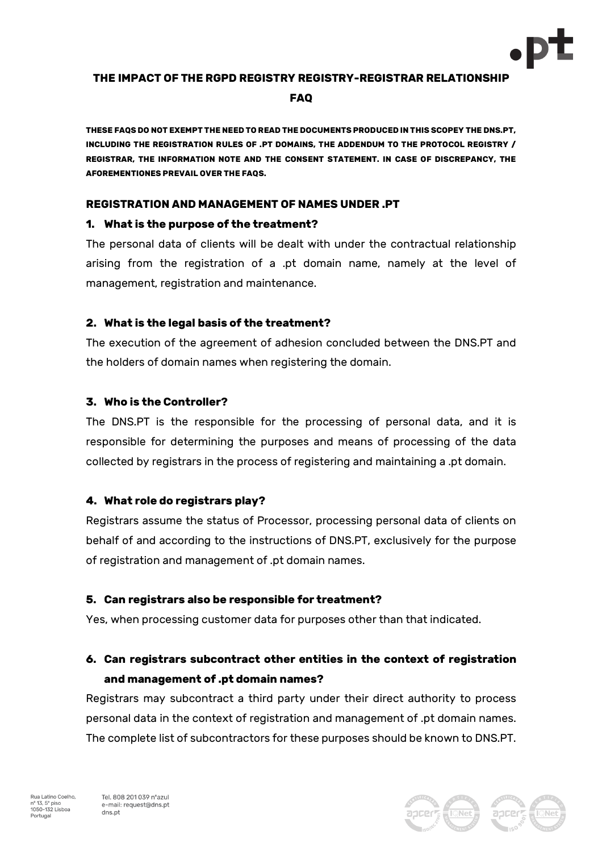

## **THE IMPACT OF THE RGPD REGISTRY REGISTRY-REGISTRAR RELATIONSHIP FAQ**

**THESE FAQS DO NOT EXEMPT THE NEED TO READ THE DOCUMENTS PRODUCED IN THIS SCOPEY THE DNS.PT, INCLUDING THE REGISTRATION RULES OF .PT DOMAINS, THE ADDENDUM TO THE PROTOCOL REGISTRY / REGISTRAR, THE INFORMATION NOTE AND THE CONSENT STATEMENT. IN CASE OF DISCREPANCY, THE AFOREMENTIONES PREVAIL OVER THE FAQS.**

#### **REGISTRATION AND MANAGEMENT OF NAMES UNDER .PT**

#### **1. What is the purpose of the treatment?**

The personal data of clients will be dealt with under the contractual relationship arising from the registration of a .pt domain name, namely at the level of management, registration and maintenance.

#### **2. What is the legal basis of the treatment?**

The execution of the agreement of adhesion concluded between the DNS.PT and the holders of domain names when registering the domain.

## **3. Who is the Controller?**

The DNS.PT is the responsible for the processing of personal data, and it is responsible for determining the purposes and means of processing of the data collected by registrars in the process of registering and maintaining a .pt domain.

## **4. What role do registrars play?**

Registrars assume the status of Processor, processing personal data of clients on behalf of and according to the instructions of DNS.PT, exclusively for the purpose of registration and management of .pt domain names.

#### **5. Can registrars also be responsible for treatment?**

Yes, when processing customer data for purposes other than that indicated.

## **6. Can registrars subcontract other entities in the context of registration and management of .pt domain names?**

Registrars may subcontract a third party under their direct authority to process personal data in the context of registration and management of .pt domain names. The complete list of subcontractors for these purposes should be known to DNS.PT.

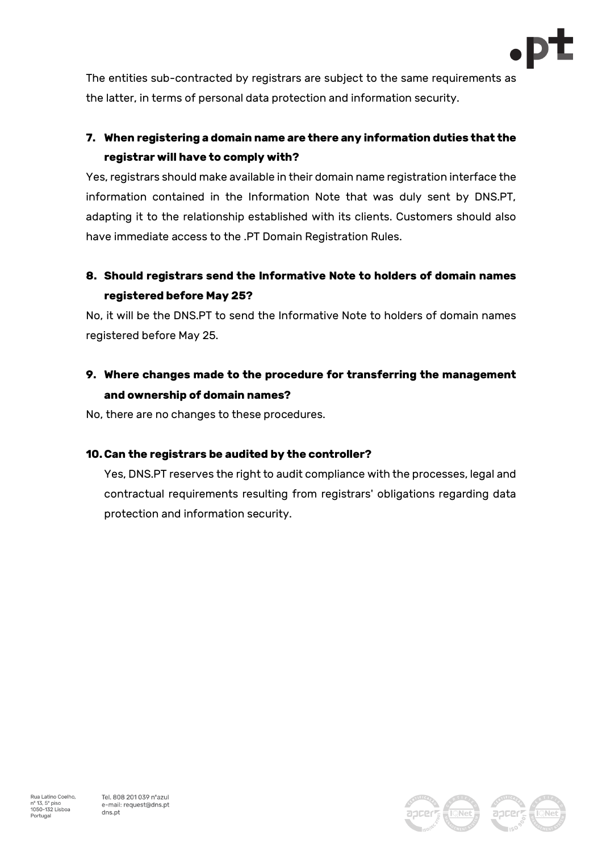

The entities sub-contracted by registrars are subject to the same requirements as the latter, in terms of personal data protection and information security.

# **7. When registering a domain name are there any information duties that the registrar will have to comply with?**

Yes, registrars should make available in their domain name registration interface the information contained in the Information Note that was duly sent by DNS.PT, adapting it to the relationship established with its clients. Customers should also have immediate access to the .PT Domain Registration Rules.

## **8. Should registrars send the Informative Note to holders of domain names registered before May 25?**

No, it will be the DNS.PT to send the Informative Note to holders of domain names registered before May 25.

# **9. Where changes made to the procedure for transferring the management and ownership of domain names?**

No, there are no changes to these procedures.

## **10. Can the registrars be audited by the controller?**

Yes, DNS.PT reserves the right to audit compliance with the processes, legal and contractual requirements resulting from registrars' obligations regarding data protection and information security.

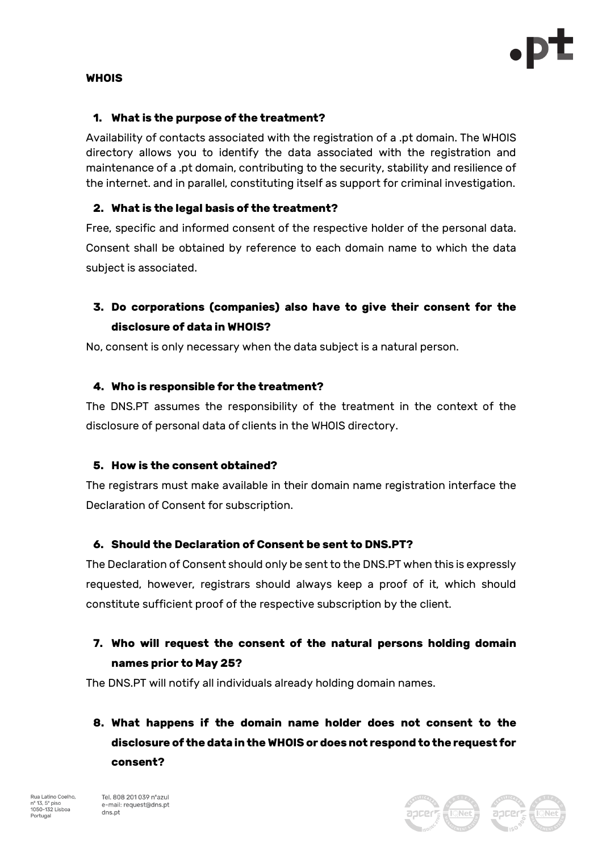

#### **WHOIS**

#### **1. What is the purpose of the treatment?**

Availability of contacts associated with the registration of a .pt domain. The WHOIS directory allows you to identify the data associated with the registration and maintenance of a .pt domain, contributing to the security, stability and resilience of the internet. and in parallel, constituting itself as support for criminal investigation.

#### **2. What is the legal basis of the treatment?**

Free, specific and informed consent of the respective holder of the personal data. Consent shall be obtained by reference to each domain name to which the data subject is associated.

## **3. Do corporations (companies) also have to give their consent for the disclosure of data in WHOIS?**

No, consent is only necessary when the data subject is a natural person.

#### **4. Who is responsible for the treatment?**

The DNS.PT assumes the responsibility of the treatment in the context of the disclosure of personal data of clients in the WHOIS directory.

#### **5. How is the consent obtained?**

The registrars must make available in their domain name registration interface the Declaration of Consent for subscription.

## **6. Should the Declaration of Consent be sent to DNS.PT?**

The Declaration of Consent should only be sent to the DNS.PT when this is expressly requested, however, registrars should always keep a proof of it, which should constitute sufficient proof of the respective subscription by the client.

## **7. Who will request the consent of the natural persons holding domain names prior to May 25?**

The DNS.PT will notify all individuals already holding domain names.

**8. What happens if the domain name holder does not consent to the disclosure of the data in the WHOIS or does not respond to the request for consent?**



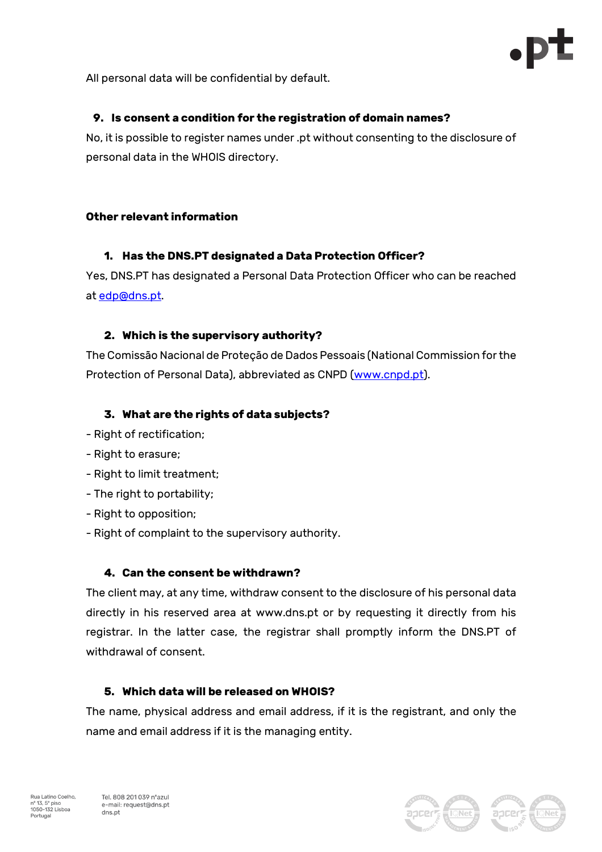

All personal data will be confidential by default.

## **9. Is consent a condition for the registration of domain names?**

No, it is possible to register names under .pt without consenting to the disclosure of personal data in the WHOIS directory.

## **Other relevant information**

## **1. Has the DNS.PT designated a Data Protection Officer?**

Yes, DNS.PT has designated a Personal Data Protection Officer who can be reached at edp@dns.pt.

## **2. Which is the supervisory authority?**

The Comissão Nacional de Proteção de Dados Pessoais (National Commission for the Protection of Personal Data), abbreviated as CNPD (www.cnpd.pt).

## **3. What are the rights of data subjects?**

- Right of rectification;
- Right to erasure;
- Right to limit treatment;
- The right to portability;
- Right to opposition;
- Right of complaint to the supervisory authority.

## **4. Can the consent be withdrawn?**

The client may, at any time, withdraw consent to the disclosure of his personal data directly in his reserved area at www.dns.pt or by requesting it directly from his registrar. In the latter case, the registrar shall promptly inform the DNS.PT of withdrawal of consent.

## **5. Which data will be released on WHOIS?**

The name, physical address and email address, if it is the registrant, and only the name and email address if it is the managing entity.



Tel. 808 201 039 n°azul e-mail: request@dns.pt dns.pt